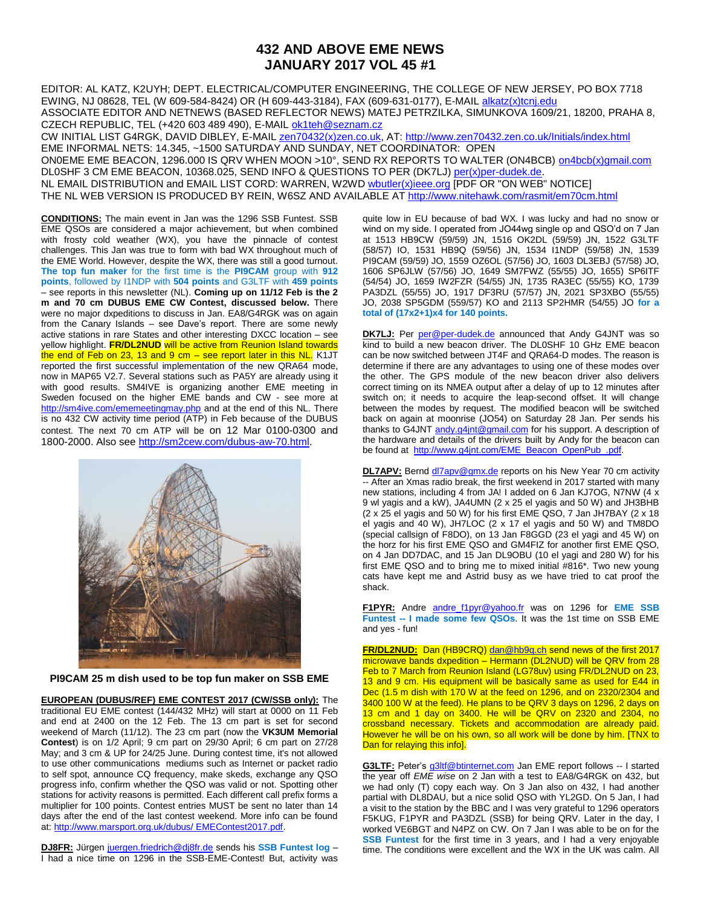## **432 AND ABOVE EME NEWS JANUARY 2017 VOL 45 #1**

EDITOR: AL KATZ, K2UYH; DEPT. ELECTRICAL/COMPUTER ENGINEERING, THE COLLEGE OF NEW JERSEY, PO BOX 7718 EWING, NJ 08628, TEL (W 609-584-8424) OR (H 609-443-3184), FAX (609-631-0177), E-MAIL [alkatz\(x\)tcnj.edu](mailto:alkatz@tcnj.edu) ASSOCIATE EDITOR AND NETNEWS (BASED REFLECTOR NEWS) MATEJ PETRZILKA, SIMUNKOVA 1609/21, 18200, PRAHA 8, CZECH REPUBLIC, TEL (+420 603 489 490), E-MAIL [ok1teh@seznam.cz](mailto:ok1teh@seznam.cz) CW INITIAL LIST G4RGK, DAVID DIBLEY, E-MAIL [zen70432\(x\)zen.co.uk,](mailto:zen70432@zen.co.uk) AT:<http://www.zen70432.zen.co.uk/Initials/index.html> EME INFORMAL NETS: 14.345, ~1500 SATURDAY AND SUNDAY, NET COORDINATOR: OPEN ON0EME EME BEACON, 1296.000 IS QRV WHEN MOON >10°, SEND RX REPORTS TO WALTER (ON4BCB) [on4bcb\(x\)gmail.com](mailto:on4bcb@gmail.com) 

DL0SHF 3 CM EME BEACON, 10368.025, SEND INFO & QUESTIONS TO PER (DK7LJ[\) per\(x\)per-dudek.de.](mailto:per@per-dudek.de) NL EMAIL DISTRIBUTION and EMAIL LIST CORD: WARREN, W2W[D wbutler\(x\)ieee.org](mailto:wbutler@ieee.org) [PDF OR "ON WEB" NOTICE] THE NL WEB VERSION IS PRODUCED BY REIN, W6SZ AND AVAILABLE A[T http://www.nitehawk.com/rasmit/em70cm.html](http://www.nitehawk.com/rasmit/em70cm.html)

**CONDITIONS:** The main event in Jan was the 1296 SSB Funtest. SSB EME QSOs are considered a major achievement, but when combined with frosty cold weather (WX), you have the pinnacle of contest challenges. This Jan was true to form with bad WX throughout much of the EME World. However, despite the WX, there was still a good turnout. **The top fun maker** for the first time is the **PI9CAM** group with **912 points**, followed by I1NDP with **504 points** and G3LTF with **459 points** – see reports in this newsletter (NL). **Coming up on 11/12 Feb is the 2 m and 70 cm DUBUS EME CW Contest, discussed below.** There were no major dxpeditions to discuss in Jan. EA8/G4RGK was on again from the Canary Islands – see Dave's report. There are some newly active stations in rare States and other interesting DXCC location – see yellow highlight. **FR/DL2NUD** will be active from Reunion Island towards the end of Feb on 23, 13 and 9 cm  $-$  see report later in this NL. K1JT reported the first successful implementation of the new QRA64 mode, now in MAP65 V2.7. Several stations such as PA5Y are already using it with good results. SM4IVE is organizing another EME meeting in Sweden focused on the higher EME bands and CW - see more at <http://sm4ive.com/ememeetingmay.php> and at the end of this NL. There is no 432 CW activity time period (ATP) in Feb because of the DUBUS contest. The next 70 cm ATP will be on 12 Mar 0100-0300 and 1800-2000. Also see [http://sm2cew.com/dubus-aw-70.html.](http://sm2cew.com/dubus-aw-70.html)



**PI9CAM 25 m dish used to be top fun maker on SSB EME**

**EUROPEAN (DUBUS/REF) EME CONTEST 2017 (CW/SSB only):** The traditional EU EME contest (144/432 MHz) will start at 0000 on 11 Feb and end at 2400 on the 12 Feb. The 13 cm part is set for second weekend of March (11/12). The 23 cm part (now the **VK3UM Memorial Contest**) is on 1/2 April; 9 cm part on 29/30 April; 6 cm part on 27/28 May; and 3 cm & UP for 24/25 June. During contest time, it's not allowed to use other communications mediums such as Internet or packet radio to self spot, announce CQ frequency, make skeds, exchange any QSO progress info, confirm whether the QSO was valid or not. Spotting other stations for activity reasons is permitted. Each different call prefix forms a multiplier for 100 points. Contest entries MUST be sent no later than 14 days after the end of the last contest weekend. More info can be found at: [http://www.marsport.org.uk/dubus/ EMEContest2017.pdf.](http://www.marsport.org.uk/dubus/%20EMEContest2017.pdf)

**DJ8FR:** Jürgen [juergen.friedrich@dj8fr.de](mailto:juergen.friedrich@dj8fr.de) sends his **SSB Funtest log** – I had a nice time on 1296 in the SSB-EME-Contest! But, activity was quite low in EU because of bad WX. I was lucky and had no snow or wind on my side. I operated from JO44wg single op and QSO'd on 7 Jan at 1513 HB9CW (59/59) JN, 1516 OK2DL (59/59) JN, 1522 G3LTF (58/57) IO, 1531 HB9Q (59/56) JN, 1534 I1NDP (59/58) JN, 1539 PI9CAM (59/59) JO, 1559 OZ6OL (57/56) JO, 1603 DL3EBJ (57/58) JO, 1606 SP6JLW (57/56) JO, 1649 SM7FWZ (55/55) JO, 1655) SP6ITF (54/54) JO, 1659 IW2FZR (54/55) JN, 1735 RA3EC (55/55) KO, 1739 PA3DZL (55/55) JO, 1917 DF3RU (57/57) JN, 2021 SP3XBO (55/55) JO, 2038 SP5GDM (559/57) KO and 2113 SP2HMR (54/55) JO **for a total of (17x2+1)x4 for 140 points.**

DK7LJ: Per [per@per-dudek.de](mailto:per@per-dudek.de) announced that Andy G4JNT was so kind to build a new beacon driver. The DL0SHF 10 GHz EME beacon can be now switched between JT4F and QRA64-D modes. The reason is determine if there are any advantages to using one of these modes over the other. The GPS module of the new beacon driver also delivers correct timing on its NMEA output after a delay of up to 12 minutes after switch on; it needs to acquire the leap-second offset. It will change between the modes by request. The modified beacon will be switched back on again at moonrise (JO54) on Saturday 28 Jan. Per sends his thanks to G4JNT [andy.g4jnt@gmail.com](mailto:andy.g4jnt@gmail.com) for his support. A description of the hardware and details of the drivers built by Andy for the beacon can be found at [http://www.g4jnt.com/EME\\_Beacon\\_OpenPub\\_.pdf.](http://www.g4jnt.com/EME_Beacon_OpenPub_.pdf)

**DL7APV:** Bernd [dl7apv@gmx.de](mailto:dl7apv@gmx.de) reports on his New Year 70 cm activity -- After an Xmas radio break, the first weekend in 2017 started with many new stations, including 4 from JA! I added on 6 Jan KJ7OG, N7NW (4 x 9 wl yagis and a kW), JA4UMN (2 x 25 el yagis and 50 W) and JH3BHB (2 x 25 el yagis and 50 W) for his first EME QSO, 7 Jan JH7BAY (2 x 18 el yagis and 40 W), JH7LOC (2 x 17 el yagis and 50 W) and TM8DO (special callsign of F8DO), on 13 Jan F8GGD (23 el yagi and 45 W) on the horz for his first EME QSO and GM4FIZ for another first EME QSO, on 4 Jan DD7DAC, and 15 Jan DL9OBU (10 el yagi and 280 W) for his first EME QSO and to bring me to mixed initial #816\*. Two new young cats have kept me and Astrid busy as we have tried to cat proof the shack.

**F1PYR:** Andre [andre\\_f1pyr@yahoo.fr](mailto:andre_f1pyr@yahoo.fr) was on 1296 for **EME SSB Funtest -- I made some few QSOs**. It was the 1st time on SSB EME and yes - fun!

**FR/DL2NUD:** Dan (HB9CRQ[\) dan@hb9q.ch](mailto:dan@hb9q.ch) send news of the first 2017 microwave bands dxpedition – Hermann (DL2NUD) will be QRV from 28 Feb to 7 March from Reunion Island (LG78uv) using FR/DL2NUD on 23, 13 and 9 cm. His equipment will be basically same as used for E44 in Dec (1.5 m dish with 170 W at the feed on 1296, and on 2320/2304 and 3400 100 W at the feed). He plans to be QRV 3 days on 1296, 2 days on 13 cm and 1 day on 3400. He will be QRV on 2320 and 2304, no crossband necessary. Tickets and accommodation are already paid. However he will be on his own, so all work will be done by him. [TNX to Dan for relaying this infol.

**G3LTF:** Peter's [g3ltf@btinternet.com](mailto:g3ltf@btinternet.com) Jan EME report follows -- I started the year off *EME wise* on 2 Jan with a test to EA8/G4RGK on 432, but we had only (T) copy each way. On 3 Jan also on 432, I had another partial with DL8DAU, but a nice solid QSO with YL2GD. On 5 Jan, I had a visit to the station by the BBC and I was very grateful to 1296 operators F5KUG, F1PYR and PA3DZL (SSB) for being QRV. Later in the day, I worked VE6BGT and N4PZ on CW. On 7 Jan I was able to be on for the **SSB Funtest** for the first time in 3 years, and I had a very enjoyable time. The conditions were excellent and the WX in the UK was calm. All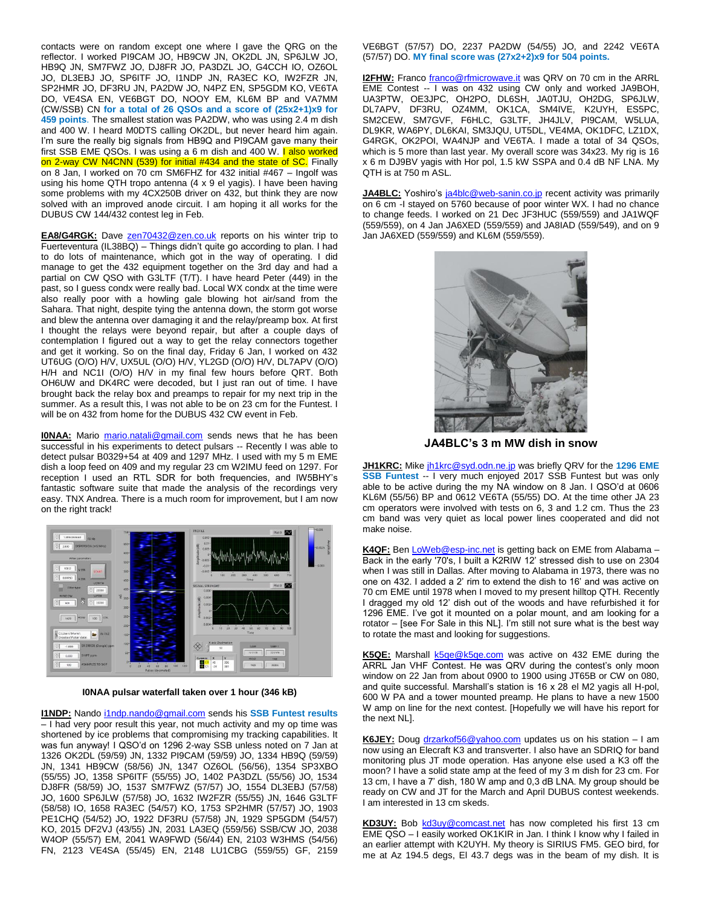contacts were on random except one where I gave the QRG on the reflector. I worked PI9CAM JO, HB9CW JN, OK2DL JN, SP6JLW JO, HB9Q JN, SM7FWZ JO, DJ8FR JO, PA3DZL JO, G4CCH IO, OZ6OL JO, DL3EBJ JO, SP6ITF JO, I1NDP JN, RA3EC KO, IW2FZR JN, SP2HMR JO, DF3RU JN, PA2DW JO, N4PZ EN, SP5GDM KO, VE6TA DO, VE4SA EN, VE6BGT DO, NOOY EM, KL6M BP and VA7MM (CW/SSB) CN **for a total of 26 QSOs and a score of (25x2+1)x9 for 459 points**. The smallest station was PA2DW, who was using 2.4 m dish and 400 W. I heard M0DTS calling OK2DL, but never heard him again. I'm sure the really big signals from HB9Q and PI9CAM gave many their first SSB EME QSOs. I was using a 6 m dish and 400 W. I also worked on 2-way CW N4CNN (539) for initial #434 and the state of SC. Finally on 8 Jan, I worked on 70 cm SM6FHZ for 432 initial #467 – Ingolf was using his home QTH tropo antenna (4 x 9 el yagis). I have been having some problems with my 4CX250B driver on 432, but think they are now solved with an improved anode circuit. I am hoping it all works for the DUBUS CW 144/432 contest leg in Feb.

**EA8/G4RGK:** Dave [zen70432@zen.co.uk](mailto:zen70432@zen.co.uk) reports on his winter trip to Fuerteventura (IL38BQ) – Things didn't quite go according to plan. I had to do lots of maintenance, which got in the way of operating. I did manage to get the 432 equipment together on the 3rd day and had a partial on CW QSO with G3LTF (T/T). I have heard Peter (449) in the past, so I guess condx were really bad. Local WX condx at the time were also really poor with a howling gale blowing hot air/sand from the Sahara. That night, despite tying the antenna down, the storm got worse and blew the antenna over damaging it and the relay/preamp box. At first I thought the relays were beyond repair, but after a couple days of contemplation I figured out a way to get the relay connectors together and get it working. So on the final day, Friday 6 Jan, I worked on 432 UT6UG (O/O) H/V, UX5UL (O/O) H/V, YL2GD (O/O) H/V, DL7APV (O/O) H/H and NC1I (O/O) H/V in my final few hours before QRT. Both OH6UW and DK4RC were decoded, but I just ran out of time. I have brought back the relay box and preamps to repair for my next trip in the summer. As a result this, I was not able to be on 23 cm for the Funtest. I will be on 432 from home for the DUBUS 432 CW event in Feb.

**I0NAA:** Mario [mario.natali@gmail.com](mailto:mario.natali@gmail.com) sends news that he has been successful in his experiments to detect pulsars -- Recently I was able to detect pulsar B0329+54 at 409 and 1297 MHz. I used with my 5 m EME dish a loop feed on 409 and my regular 23 cm W2IMU feed on 1297. For reception I used an RTL SDR for both frequencies, and IW5BHY's fantastic software suite that made the analysis of the recordings very easy. TNX Andrea. There is a much room for improvement, but I am now on the right track!



## **I0NAA pulsar waterfall taken over 1 hour (346 kB)**

**I1NDP:** Nando [i1ndp.nando@gmail.com](mailto:i1ndp.nando@gmail.com) sends his **SSB Funtest results** – I had very poor result this year, not much activity and my op time was shortened by ice problems that compromising my tracking capabilities. It was fun anyway! I QSO'd on 1296 2-way SSB unless noted on 7 Jan at 1326 OK2DL (59/59) JN, 1332 PI9CAM (59/59) JO, 1334 HB9Q (59/59) JN, 1341 HB9CW (58/56) JN, 1347 OZ6OL (56/56), 1354 SP3XBO (55/55) JO, 1358 SP6ITF (55/55) JO, 1402 PA3DZL (55/56) JO, 1534 DJ8FR (58/59) JO, 1537 SM7FWZ (57/57) JO, 1554 DL3EBJ (57/58) JO, 1600 SP6JLW (57/58) JO, 1632 IW2FZR (55/55) JN, 1646 G3LTF (58/58) IO, 1658 RA3EC (54/57) KO, 1753 SP2HMR (57/57) JO, 1903 PE1CHQ (54/52) JO, 1922 DF3RU (57/58) JN, 1929 SP5GDM (54/57) KO, 2015 DF2VJ (43/55) JN, 2031 LA3EQ (559/56) SSB/CW JO, 2038 W4OP (55/57) EM, 2041 WA9FWD (56/44) EN, 2103 W3HMS (54/56) FN, 2123 VE4SA (55/45) EN, 2148 LU1CBG (559/55) GF, 2159

VE6BGT (57/57) DO, 2237 PA2DW (54/55) JO, and 2242 VE6TA (57/57) DO. **MY final score was (27x2+2)x9 for 504 points.**

**I2FHW:** Franco *franco@rfmicrowave.it* was QRV on 70 cm in the ARRL EME Contest -- I was on 432 using CW only and worked JA9BOH, UA3PTW, OE3JPC, OH2PO, DL6SH, JA0TJU, OH2DG, SP6JLW, DL7APV, DF3RU, OZ4MM, OK1CA, SM4IVE, K2UYH, ES5PC, SM2CEW, SM7GVF, F6HLC, G3LTF, JH4JLV, PI9CAM, W5LUA, DL9KR, WA6PY, DL6KAI, SM3JQU, UT5DL, VE4MA, OK1DFC, LZ1DX, G4RGK, OK2POI, WA4NJP and VE6TA. I made a total of 34 QSOs, which is 5 more than last year. My overall score was 34x23. My rig is 16 x 6 m DJ9BV yagis with Hor pol, 1.5 kW SSPA and 0.4 dB NF LNA. My QTH is at 750 m ASL.

**JA4BLC:** Yoshiro's [ja4blc@web-sanin.co.jp](mailto:ja4blc@web-sanin.co.jp) recent activity was primarily on 6 cm -I stayed on 5760 because of poor winter WX. I had no chance to change feeds. I worked on 21 Dec JF3HUC (559/559) and JA1WQF (559/559), on 4 Jan JA6XED (559/559) and JA8IAD (559/549), and on 9 Jan JA6XED (559/559) and KL6M (559/559).



**JA4BLC's 3 m MW dish in snow**

**JH1KRC:** Mike [jh1krc@syd.odn.ne.jp](mailto:jh1krc@syd.odn.ne.jp) was briefly QRV for the **1296 EME SSB Funtest** -- I very much enjoyed 2017 SSB Funtest but was only able to be active during the my NA window on 8 Jan. I QSO'd at 0606 KL6M (55/56) BP and 0612 VE6TA (55/55) DO. At the time other JA 23 cm operators were involved with tests on 6, 3 and 1.2 cm. Thus the 23 cm band was very quiet as local power lines cooperated and did not make noise.

**K4QF:** Be[n LoWeb@esp-inc.net](mailto:LoWeb@esp-inc.net) is getting back on EME from Alabama – Back in the early '70's, I built a K2RIW 12' stressed dish to use on 2304 when I was still in Dallas. After moving to Alabama in 1973, there was no one on 432. I added a 2' rim to extend the dish to 16' and was active on 70 cm EME until 1978 when I moved to my present hilltop QTH. Recently I dragged my old 12' dish out of the woods and have refurbished it for 1296 EME. I've got it mounted on a polar mount, and am looking for a rotator – [see For Sale in this NL]. I'm still not sure what is the best way to rotate the mast and looking for suggestions.

**K5QE:** Marshall [k5qe@k5qe.com](mailto:k5qe@k5qe.com) was active on 432 EME during the ARRL Jan VHF Contest. He was QRV during the contest's only moon window on 22 Jan from about 0900 to 1900 using JT65B or CW on 080, and quite successful. Marshall's station is 16 x 28 el M2 yagis all H-pol, 600 W PA and a tower mounted preamp. He plans to have a new 1500 W amp on line for the next contest. [Hopefully we will have his report for the next NL].

K6JEY: Doug [drzarkof56@yahoo.com](mailto:drzarkof56@yahoo.com) updates us on his station – I am now using an Elecraft K3 and transverter. I also have an SDRIQ for band monitoring plus JT mode operation. Has anyone else used a K3 off the moon? I have a solid state amp at the feed of my 3 m dish for 23 cm. For 13 cm, I have a 7' dish, 180 W amp and 0,3 dB LNA. My group should be ready on CW and JT for the March and April DUBUS contest weekends. I am interested in 13 cm skeds.

KD3UY: Bob [kd3uy@comcast.net](mailto:kd3uy@comcast.net) has now completed his first 13 cm EME QSO – I easily worked OK1KIR in Jan. I think I know why I failed in an earlier attempt with K2UYH. My theory is SIRIUS FM5. GEO bird, for me at Az 194.5 degs, El 43.7 degs was in the beam of my dish. It is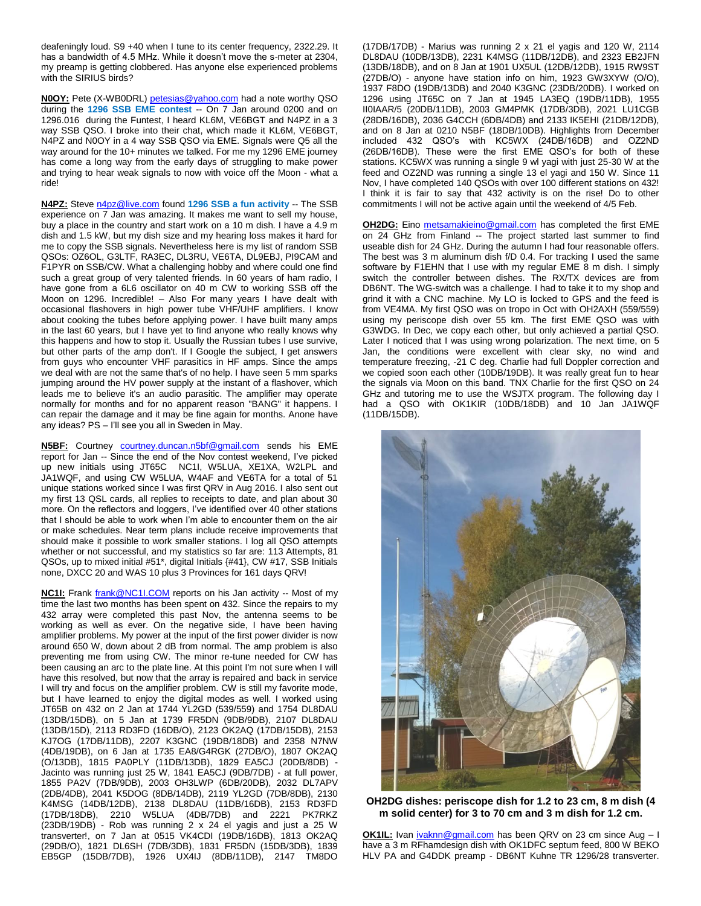deafeningly loud. S9 +40 when I tune to its center frequency, 2322.29. It has a bandwidth of 4.5 MHz. While it doesn't move the s-meter at 2304, my preamp is getting clobbered. Has anyone else experienced problems with the SIRIUS birds?

**N0OY:** Pete (X-WB0DRL) [petesias@yahoo.com](mailto:petesias@yahoo.com) had a note worthy QSO during the **1296 SSB EME contest** -- On 7 Jan around 0200 and on 1296.016 during the Funtest, I heard KL6M, VE6BGT and N4PZ in a 3 way SSB QSO. I broke into their chat, which made it KL6M, VE6BGT, N4PZ and N0OY in a 4 way SSB QSO via EME. Signals were Q5 all the way around for the 10+ minutes we talked. For me my 1296 EME journey has come a long way from the early days of struggling to make power and trying to hear weak signals to now with voice off the Moon - what a ride!

**N4PZ:** Stev[e n4pz@live.com](mailto:n4pz@live.com) found **1296 SSB a fun activity** -- The SSB experience on 7 Jan was amazing. It makes me want to sell my house, buy a place in the country and start work on a 10 m dish. I have a 4.9 m dish and 1.5 kW, but my dish size and my hearing loss makes it hard for me to copy the SSB signals. Nevertheless here is my list of random SSB QSOs: OZ6OL, G3LTF, RA3EC, DL3RU, VE6TA, DL9EBJ, PI9CAM and F1PYR on SSB/CW. What a challenging hobby and where could one find such a great group of very talented friends. In 60 years of ham radio, I have gone from a 6L6 oscillator on 40 m CW to working SSB off the Moon on 1296. Incredible! – Also For many years I have dealt with occasional flashovers in high power tube VHF/UHF amplifiers. I know about cooking the tubes before applying power. I have built many amps in the last 60 years, but I have yet to find anyone who really knows why this happens and how to stop it. Usually the Russian tubes I use survive, but other parts of the amp don't. If I Google the subject, I get answers from guys who encounter VHF parasitics in HF amps. Since the amps we deal with are not the same that's of no help. I have seen 5 mm sparks jumping around the HV power supply at the instant of a flashover, which leads me to believe it's an audio parasitic. The amplifier may operate normally for months and for no apparent reason "BANG" it happens. I can repair the damage and it may be fine again for months. Anone have any ideas? PS – I'll see you all in Sweden in May.

**N5BF:** Courtney [courtney.duncan.n5bf@gmail.com](mailto:courtney.duncan.n5bf@gmail.com) sends his EME report for Jan -- Since the end of the Nov contest weekend, I've picked up new initials using JT65C NC1I, W5LUA, XE1XA, W2LPL and JA1WQF, and using CW W5LUA, W4AF and VE6TA for a total of 51 unique stations worked since I was first QRV in Aug 2016. I also sent out my first 13 QSL cards, all replies to receipts to date, and plan about 30 more. On the reflectors and loggers, I've identified over 40 other stations that I should be able to work when I'm able to encounter them on the air or make schedules. Near term plans include receive improvements that should make it possible to work smaller stations. I log all QSO attempts whether or not successful, and my statistics so far are: 113 Attempts, 81 QSOs, up to mixed initial #51\*, digital Initials {#41}, CW #17, SSB Initials none, DXCC 20 and WAS 10 plus 3 Provinces for 161 days QRV!

**NC1I:** Frank **[frank@NC1I.COM](mailto:frank@NC1I.COM)** reports on his Jan activity -- Most of my time the last two months has been spent on 432. Since the repairs to my 432 array were completed this past Nov, the antenna seems to be working as well as ever. On the negative side, I have been having amplifier problems. My power at the input of the first power divider is now around 650 W, down about 2 dB from normal. The amp problem is also preventing me from using CW. The minor re-tune needed for CW has been causing an arc to the plate line. At this point I'm not sure when I will have this resolved, but now that the array is repaired and back in service I will try and focus on the amplifier problem. CW is still my favorite mode, but I have learned to enjoy the digital modes as well. I worked using JT65B on 432 on 2 Jan at 1744 YL2GD (539/559) and 1754 DL8DAU (13DB/15DB), on 5 Jan at 1739 FR5DN (9DB/9DB), 2107 DL8DAU (13DB/15D), 2113 RD3FD (16DB/O), 2123 OK2AQ (17DB/15DB), 2153 KJ7OG (17DB/11DB), 2207 K3GNC (19DB/18DB) and 2358 N7NW (4DB/19DB), on 6 Jan at 1735 EA8/G4RGK (27DB/O), 1807 OK2AQ (O/13DB), 1815 PA0PLY (11DB/13DB), 1829 EA5CJ (20DB/8DB) - Jacinto was running just 25 W, 1841 EA5CJ (9DB/7DB) - at full power, 1855 PA2V (7DB/9DB), 2003 OH3LWP (6DB/20DB), 2032 DL7APV (2DB/4DB), 2041 K5DOG (8DB/14DB), 2119 YL2GD (7DB/8DB), 2130 K4MSG (14DB/12DB), 2138 DL8DAU (11DB/16DB), 2153 RD3FD (17DB/18DB), 2210 W5LUA (4DB/7DB) and 2221 PK7RKZ (23DB/19DB) - Rob was running 2 x 24 el yagis and just a 25 W transverter!, on 7 Jan at 0515 VK4CDI (19DB/16DB), 1813 OK2AQ (29DB/O), 1821 DL6SH (7DB/3DB), 1831 FR5DN (15DB/3DB), 1839 EB5GP (15DB/7DB), 1926 UX4IJ (8DB/11DB), 2147 TM8DO

(17DB/17DB) - Marius was running 2 x 21 el yagis and 120 W, 2114 DL8DAU (10DB/13DB), 2231 K4MSG (11DB/12DB), and 2323 EB2JFN (13DB/18DB), and on 8 Jan at 1901 UX5UL (12DB/12DB), 1915 RW9ST (27DB/O) - anyone have station info on him, 1923 GW3XYW (O/O), 1937 F8DO (19DB/13DB) and 2040 K3GNC (23DB/20DB). I worked on 1296 using JT65C on 7 Jan at 1945 LA3EQ (19DB/11DB), 1955 II0IAAR/5 (20DB/11DB), 2003 GM4PMK (17DB/3DB), 2021 LU1CGB (28DB/16DB), 2036 G4CCH (6DB/4DB) and 2133 IK5EHI (21DB/12DB), and on 8 Jan at 0210 N5BF (18DB/10DB). Highlights from December included 432 QSO's with KC5WX (24DB/16DB) and OZ2ND (26DB/16DB). These were the first EME QSO's for both of these stations. KC5WX was running a single 9 wl yagi with just 25-30 W at the feed and OZ2ND was running a single 13 el yagi and 150 W. Since 11 Nov, I have completed 140 QSOs with over 100 different stations on 432! I think it is fair to say that 432 activity is on the rise! Do to other commitments I will not be active again until the weekend of 4/5 Feb.

**OH2DG:** Eino [metsamakieino@gmail.com](mailto:metsamakieino@gmail.com) has completed the first EME on 24 GHz from Finland -- The project started last summer to find useable dish for 24 GHz. During the autumn I had four reasonable offers. The best was 3 m aluminum dish f/D 0.4. For tracking I used the same software by F1EHN that I use with my regular EME 8 m dish. I simply switch the controller between dishes. The RX/TX devices are from DB6NT. The WG-switch was a challenge. I had to take it to my shop and grind it with a CNC machine. My LO is locked to GPS and the feed is from VE4MA. My first QSO was on tropo in Oct with OH2AXH (559/559) using my periscope dish over 55 km. The first EME QSO was with G3WDG. In Dec, we copy each other, but only achieved a partial QSO. Later I noticed that I was using wrong polarization. The next time, on 5 Jan, the conditions were excellent with clear sky, no wind and temperature freezing, -21 C deg. Charlie had full Doppler correction and we copied soon each other (10DB/19DB). It was really great fun to hear the signals via Moon on this band. TNX Charlie for the first QSO on 24 GHz and tutoring me to use the WSJTX program. The following day I had a QSO with OK1KIR (10DB/18DB) and 10 Jan JA1WQF (11DB/15DB).



**OH2DG dishes: periscope dish for 1.2 to 23 cm, 8 m dish (4 m solid center) for 3 to 70 cm and 3 m dish for 1.2 cm.**

**OK1IL:** Ivan *ivaknn@gmail.com* has been QRV on 23 cm since Aug - I have a 3 m RFhamdesign dish with OK1DFC septum feed, 800 W BEKO HLV PA and G4DDK preamp - DB6NT Kuhne TR 1296/28 transverter.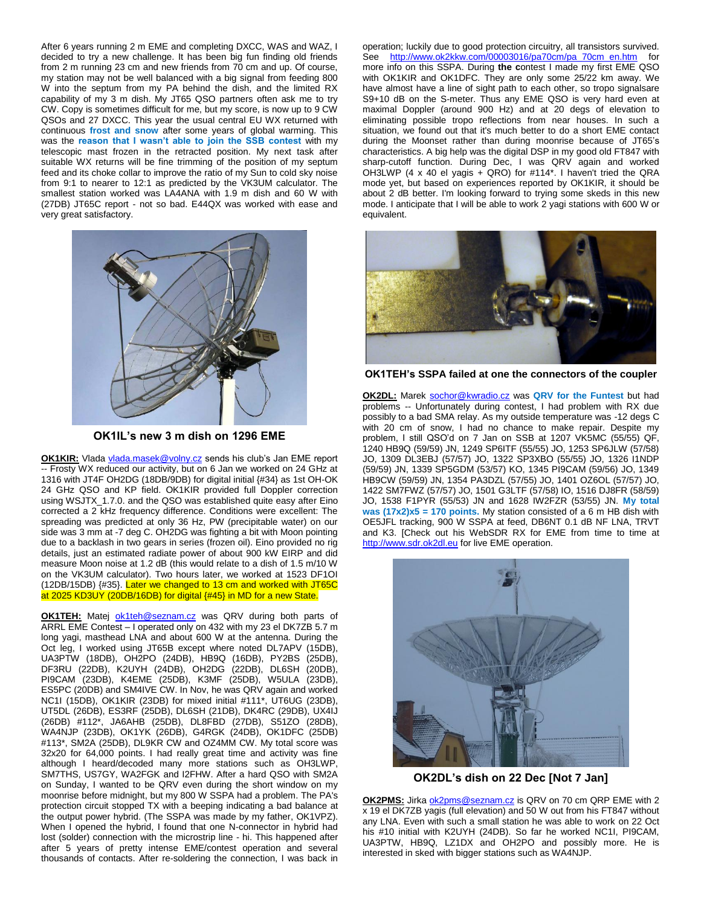After 6 years running 2 m EME and completing DXCC, WAS and WAZ, I decided to try a new challenge. It has been big fun finding old friends from 2 m running 23 cm and new friends from 70 cm and up. Of course, my station may not be well balanced with a big signal from feeding 800 W into the septum from my PA behind the dish, and the limited RX capability of my 3 m dish. My JT65 QSO partners often ask me to try CW. Copy is sometimes difficult for me, but my score, is now up to 9 CW QSOs and 27 DXCC. This year the usual central EU WX returned with continuous **frost and snow** after some years of global warming. This was the **reason that I wasn't able to join the SSB contest** with my telescopic mast frozen in the retracted position. My next task after suitable WX returns will be fine trimming of the position of my septum feed and its choke collar to improve the ratio of my Sun to cold sky noise from 9:1 to nearer to 12:1 as predicted by the VK3UM calculator. The smallest station worked was LA4ANA with 1.9 m dish and 60 W with (27DB) JT65C report - not so bad. E44QX was worked with ease and very great satisfactory.



**OK1IL's new 3 m dish on 1296 EME**

**OK1KIR:** Vlad[a vlada.masek@volny.cz](mailto:vlada.masek@volny.cz) sends his club's Jan EME report -- Frosty WX reduced our activity, but on 6 Jan we worked on 24 GHz at 1316 with JT4F OH2DG (18DB/9DB) for digital initial {#34} as 1st OH-OK 24 GHz QSO and KP field. OK1KIR provided full Doppler correction using WSJTX 1.7.0. and the QSO was established quite easy after Eino corrected a 2 kHz frequency difference. Conditions were excellent: The spreading was predicted at only 36 Hz, PW (precipitable water) on our side was 3 mm at -7 deg C. OH2DG was fighting a bit with Moon pointing due to a backlash in two gears in series (frozen oil). Eino provided no rig details, just an estimated radiate power of about 900 kW EIRP and did measure Moon noise at 1.2 dB (this would relate to a dish of 1.5 m/10 W on the VK3UM calculator). Two hours later, we worked at 1523 DF1OI (12DB/15DB) {#35}. Later we changed to 13 cm and worked with JT65C at 2025 KD3UY (20DB/16DB) for digital {#45} in MD for a new State.

**OK1TEH:** Matej [ok1teh@seznam.cz](mailto:ok1teh@seznam.cz) was QRV during both parts of ARRL EME Contest – I operated only on 432 with my 23 el DK7ZB 5.7 m long yagi, masthead LNA and about 600 W at the antenna. During the Oct leg, I worked using JT65B except where noted DL7APV (15DB), UA3PTW (18DB), OH2PO (24DB), HB9Q (16DB), PY2BS (25DB), DF3RU (22DB), K2UYH (24DB), OH2DG (22DB), DL6SH (20DB), PI9CAM (23DB), K4EME (25DB), K3MF (25DB), W5ULA (23DB), ES5PC (20DB) and SM4IVE CW. In Nov, he was QRV again and worked NC1I (15DB), OK1KIR (23DB) for mixed initial #111\*, UT6UG (23DB), UT5DL (26DB), ES3RF (25DB), DL6SH (21DB), DK4RC (29DB), UX4IJ (26DB) #112\*, JA6AHB (25DB), DL8FBD (27DB), S51ZO (28DB), WA4NJP (23DB), OK1YK (26DB), G4RGK (24DB), OK1DFC (25DB) #113\*, SM2A (25DB), DL9KR CW and OZ4MM CW. My total score was 32x20 for 64,000 points. I had really great time and activity was fine although I heard/decoded many more stations such as OH3LWP, SM7THS, US7GY, WA2FGK and I2FHW. After a hard QSO with SM2A on Sunday, I wanted to be QRV even during the short window on my moonrise before midnight, but my 800 W SSPA had a problem. The PA's protection circuit stopped TX with a beeping indicating a bad balance at the output power hybrid. (The SSPA was made by my father, OK1VPZ). When I opened the hybrid, I found that one N-connector in hybrid had lost (solder) connection with the microstrip line - hi. This happened after after 5 years of pretty intense EME/contest operation and several thousands of contacts. After re-soldering the connection, I was back in

operation; luckily due to good protection circuitry, all transistors survived. See [http://www.ok2kkw.com/00003016/pa70cm/pa\\_70cm\\_en.htm](http://www.ok2kkw.com/00003016/pa70cm/pa_70cm_en.htm) for more info on this SSPA. During **the c**ontest I made my first EME QSO with OK1KIR and OK1DFC. They are only some 25/22 km away. We have almost have a line of sight path to each other, so tropo signalsare S9+10 dB on the S-meter. Thus any EME QSO is very hard even at maximal Doppler (around 900 Hz) and at 20 degs of elevation to eliminating possible tropo reflections from near houses. In such a situation, we found out that it's much better to do a short EME contact during the Moonset rather than during moonrise because of JT65's characteristics. A big help was the digital DSP in my good old FT847 with sharp-cutoff function. During Dec, I was QRV again and worked OH3LWP (4 x 40 el yagis + QRO) for  $\#114^*$ . I haven't tried the QRA mode yet, but based on experiences reported by OK1KIR, it should be about 2 dB better. I'm looking forward to trying some skeds in this new mode. I anticipate that I will be able to work 2 yagi stations with 600 W or equivalent.



**OK1TEH's SSPA failed at one the connectors of the coupler**

**OK2DL:** Marek [sochor@kwradio.cz](mailto:sochor@kwradio.cz) was **QRV for the Funtest** but had problems -- Unfortunately during contest, I had problem with RX due possibly to a bad SMA relay. As my outside temperature was -12 degs C with 20 cm of snow, I had no chance to make repair. Despite my problem, I still QSO'd on 7 Jan on SSB at 1207 VK5MC (55/55) QF, 1240 HB9Q (59/59) JN, 1249 SP6ITF (55/55) JO, 1253 SP6JLW (57/58) JO, 1309 DL3EBJ (57/57) JO, 1322 SP3XBO (55/55) JO, 1326 I1NDP (59/59) JN, 1339 SP5GDM (53/57) KO, 1345 PI9CAM (59/56) JO, 1349 HB9CW (59/59) JN, 1354 PA3DZL (57/55) JO, 1401 OZ6OL (57/57) JO, 1422 SM7FWZ (57/57) JO, 1501 G3LTF (57/58) IO, 1516 DJ8FR (58/59) JO, 1538 F1PYR (55/53) JN and 1628 IW2FZR (53/55) JN. **My total was (17x2)x5 = 170 points.** My station consisted of a 6 m HB dish with OE5JFL tracking, 900 W SSPA at feed, DB6NT 0.1 dB NF LNA, TRVT and K3. [Check out his WebSDR RX for EME from time to time at [http://www.sdr.ok2dl.eu](http://www.sdr.ok2dl.eu/) for live EME operation.



**OK2DL's dish on 22 Dec [Not 7 Jan]**

**OK2PMS:** Jirka [ok2pms@seznam.cz](mailto:ok2pms@seznam.cz) is QRV on 70 cm QRP EME with 2 x 19 el DK7ZB yagis (full elevation) and 50 W out from his FT847 without any LNA. Even with such a small station he was able to work on 22 Oct his #10 initial with K2UYH (24DB). So far he worked NC1I, PI9CAM, UA3PTW, HB9Q, LZ1DX and OH2PO and possibly more. He is interested in sked with bigger stations such as WA4NJP.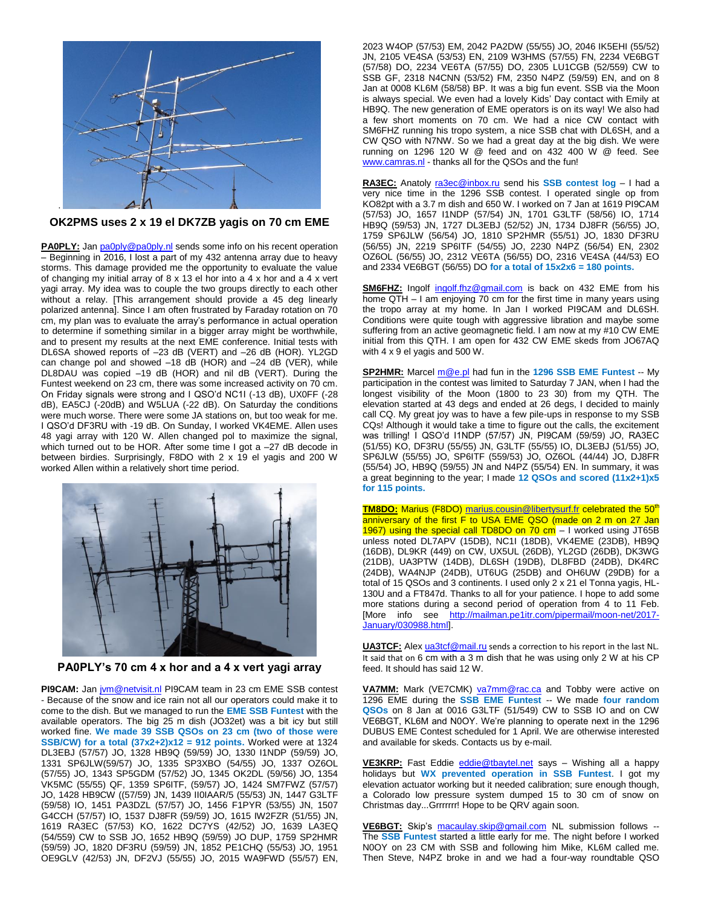

**OK2PMS uses 2 x 19 el DK7ZB yagis on 70 cm EME**

**PA0PLY:** Ja[n pa0ply@pa0ply.nl](mailto:pa0ply@pa0ply.nl) sends some info on his recent operation – Beginning in 2016, I lost a part of my 432 antenna array due to heavy storms. This damage provided me the opportunity to evaluate the value of changing my initial array of 8 x 13 el hor into a 4 x hor and a 4 x vert yagi array. My idea was to couple the two groups directly to each other without a relay. [This arrangement should provide a 45 deg linearly polarized antenna]. Since I am often frustrated by Faraday rotation on 70 cm, my plan was to evaluate the array's performance in actual operation to determine if something similar in a bigger array might be worthwhile, and to present my results at the next EME conference. Initial tests with DL6SA showed reports of –23 dB (VERT) and –26 dB (HOR). YL2GD can change pol and showed  $-18$  dB (HOR) and  $-24$  dB (VER), while DL8DAU was copied –19 dB (HOR) and nil dB (VERT). During the Funtest weekend on 23 cm, there was some increased activity on 70 cm. On Friday signals were strong and I QSO'd NC1I (-13 dB), UX0FF (-28 dB), EA5CJ (-20dB) and W5LUA (-22 dB). On Saturday the conditions were much worse. There were some JA stations on, but too weak for me. I QSO'd DF3RU with -19 dB. On Sunday, I worked VK4EME. Allen uses 48 yagi array with 120 W. Allen changed pol to maximize the signal, which turned out to be HOR. After some time I got a -27 dB decode in between birdies. Surprisingly, F8DO with 2 x 19 el yagis and 200 W worked Allen within a relatively short time period.



**PA0PLY's 70 cm 4 x hor and a 4 x vert yagi array**

**PI9CAM:** Jan [jvm@netvisit.nl](mailto:jvm@netvisit.nl) PI9CAM team in 23 cm EME SSB contest - Because of the snow and ice rain not all our operators could make it to come to the dish. But we managed to run the **EME SSB Funtest** with the available operators. The big 25 m dish (JO32et) was a bit icy but still worked fine. **We made 39 SSB QSOs on 23 cm (two of those were SSB/CW) for a total (37x2+2)x12 = 912 points.** Worked were at 1324 DL3EBJ (57/57) JO, 1328 HB9Q (59/59) JO, 1330 I1NDP (59/59) JO, 1331 SP6JLW(59/57) JO, 1335 SP3XBO (54/55) JO, 1337 OZ6OL (57/55) JO, 1343 SP5GDM (57/52) JO, 1345 OK2DL (59/56) JO, 1354 VK5MC (55/55) QF, 1359 SP6ITF, (59/57) JO, 1424 SM7FWZ (57/57) JO, 1428 HB9CW ((57/59) JN, 1439 II0IAAR/5 (55/53) JN, 1447 G3LTF (59/58) IO, 1451 PA3DZL (57/57) JO, 1456 F1PYR (53/55) JN, 1507 G4CCH (57/57) IO, 1537 DJ8FR (59/59) JO, 1615 IW2FZR (51/55) JN, 1619 RA3EC (57/53) KO, 1622 DC7YS (42/52) JO, 1639 LA3EQ (54/559) CW to SSB JO, 1652 HB9Q (59/59) JO DUP, 1759 SP2HMR (59/59) JO, 1820 DF3RU (59/59) JN, 1852 PE1CHQ (55/53) JO, 1951 OE9GLV (42/53) JN, DF2VJ (55/55) JO, 2015 WA9FWD (55/57) EN, 2023 W4OP (57/53) EM, 2042 PA2DW (55/55) JO, 2046 IK5EHI (55/52) JN, 2105 VE4SA (53/53) EN, 2109 W3HMS (57/55) FN, 2234 VE6BGT (57/58) DO, 2234 VE6TA (57/55) DO, 2305 LU1CGB (52/559) CW to SSB GF, 2318 N4CNN (53/52) FM, 2350 N4PZ (59/59) EN, and on 8 Jan at 0008 KL6M (58/58) BP. It was a big fun event. SSB via the Moon is always special. We even had a lovely Kids' Day contact with Emily at HB9Q. The new generation of EME operators is on its way! We also had a few short moments on 70 cm. We had a nice CW contact with SM6FHZ running his tropo system, a nice SSB chat with DL6SH, and a CW QSO with N7NW. So we had a great day at the big dish. We were running on 1296 120 W @ feed and on 432 400 W @ feed. See [www.camras.nl](http://www.camras.nl/) - thanks all for the QSOs and the fun!

**RA3EC:** Anatoly [ra3ec@inbox.ru](mailto:ra3ec@inbox.ru) send his **SSB contest log** – I had a very nice time in the 1296 SSB contest. I operated single op from KO82pt with a 3.7 m dish and 650 W. I worked on 7 Jan at 1619 PI9CAM (57/53) JO, 1657 I1NDP (57/54) JN, 1701 G3LTF (58/56) IO, 1714 HB9Q (59/53) JN, 1727 DL3EBJ (52/52) JN, 1734 DJ8FR (56/55) JO, 1759 SP6JLW (56/54) JO, 1810 SP2HMR (55/51) JO, 1830 DF3RU (56/55) JN, 2219 SP6ITF (54/55) JO, 2230 N4PZ (56/54) EN, 2302 OZ6OL (56/55) JO, 2312 VE6TA (56/55) DO, 2316 VE4SA (44/53) EO and 2334 VE6BGT (56/55) DO **for a total of 15x2x6 = 180 points.**

**SM6FHZ:** Ingolf [ingolf.fhz@gmail.com](mailto:ingolf.fhz@gmail.com) is back on 432 EME from his home QTH – I am enjoying 70 cm for the first time in many years using the tropo array at my home. In Jan I worked PI9CAM and DL6SH. Conditions were quite tough with aggressive libration and maybe some suffering from an active geomagnetic field. I am now at my #10 CW EME initial from this QTH. I am open for 432 CW EME skeds from JO67AQ with 4 x 9 el yagis and 500 W.

**SP2HMR:** Marcel [m@e.pl](mailto:m@e.pl) had fun in the **1296 SSB EME Funtest** -- My participation in the contest was limited to Saturday 7 JAN, when I had the longest visibility of the Moon (1800 to 23 30) from my QTH. The elevation started at 43 degs and ended at 26 degs, I decided to mainly call CQ. My great joy was to have a few pile-ups in response to my SSB CQs! Although it would take a time to figure out the calls, the excitement was trilling! I QSO'd I1NDP (57/57) JN, PI9CAM (59/59) JO, RA3EC (51/55) KO, DF3RU (55/55) JN, G3LTF (55/55) IO, DL3EBJ (51/55) JO, SP6JLW (55/55) JO, SP6ITF (559/53) JO, OZ6OL (44/44) JO, DJ8FR (55/54) JO, HB9Q (59/55) JN and N4PZ (55/54) EN. In summary, it was a great beginning to the year; I made **12 QSOs and scored (11x2+1)x5 for 115 points.**

**TM8DO:** Marius (F8DO[\) marius.cousin@libertysurf.fr](mailto:marius.cousin@libertysurf.fr) celebrated the 50<sup>th</sup> anniversary of the first F to USA EME QSO (made on 2 m on 27 Jan 1967) using the special call TD8DO on 70 cm – I worked using JT65B unless noted DL7APV (15DB), NC1I (18DB), VK4EME (23DB), HB9Q (16DB), DL9KR (449) on CW, UX5UL (26DB), YL2GD (26DB), DK3WG (21DB), UA3PTW (14DB), DL6SH (19DB), DL8FBD (24DB), DK4RC  $(24DB)$ , WA4NJP  $(24DB)$ , UT6UG  $(25DB)$  and OH6UW  $(29DB)$  for a total of 15 QSOs and 3 continents. I used only 2 x 21 el Tonna yagis, HL-130U and a FT847d. Thanks to all for your patience. I hope to add some more stations during a second period of operation from 4 to 11 Feb. [More info see [http://mailman.pe1itr.com/pipermail/moon-net/2017-](http://mailman.pe1itr.com/pipermail/moon-net/2017-January/030988.html) [January/030988.html\].](http://mailman.pe1itr.com/pipermail/moon-net/2017-January/030988.html)

**UA3TCF:** Ale[x ua3tcf@mail.ru](mailto:ua3tcf@mail.ru) sends a correction to his report in the last NL. It said that on 6 cm with a 3 m dish that he was using only 2 W at his CP feed. It should has said 12 W.

VA7MM: Mark (VE7CMK) [va7mm@rac.ca](mailto:va7mm@rac.ca) and Tobby were active on 1296 EME during the **SSB EME Funtest** -- We made **four random QSOs** on 8 Jan at 0016 G3LTF (51/549) CW to SSB IO and on CW VE6BGT, KL6M and N0OY. We're planning to operate next in the 1296 DUBUS EME Contest scheduled for 1 April. We are otherwise interested and available for skeds. Contacts us by e-mail.

**VE3KRP:** Fast Eddie [eddie@tbaytel.net](mailto:eddie@tbaytel.net) says – Wishing all a happy holidays but **WX prevented operation in SSB Funtest**. I got my elevation actuator working but it needed calibration; sure enough though, a Colorado low pressure system dumped 15 to 30 cm of snow on Christmas day...Grrrrrrr! Hope to be QRV again soon.

**VE6BGT:** Skip's [macaulay.skip@gmail.com](mailto:macaulay.skip@gmail.com) NL submission follows -- The **SSB Funtest** started a little early for me. The night before I worked N0OY on 23 CM with SSB and following him Mike, KL6M called me. Then Steve, N4PZ broke in and we had a four-way roundtable QSO